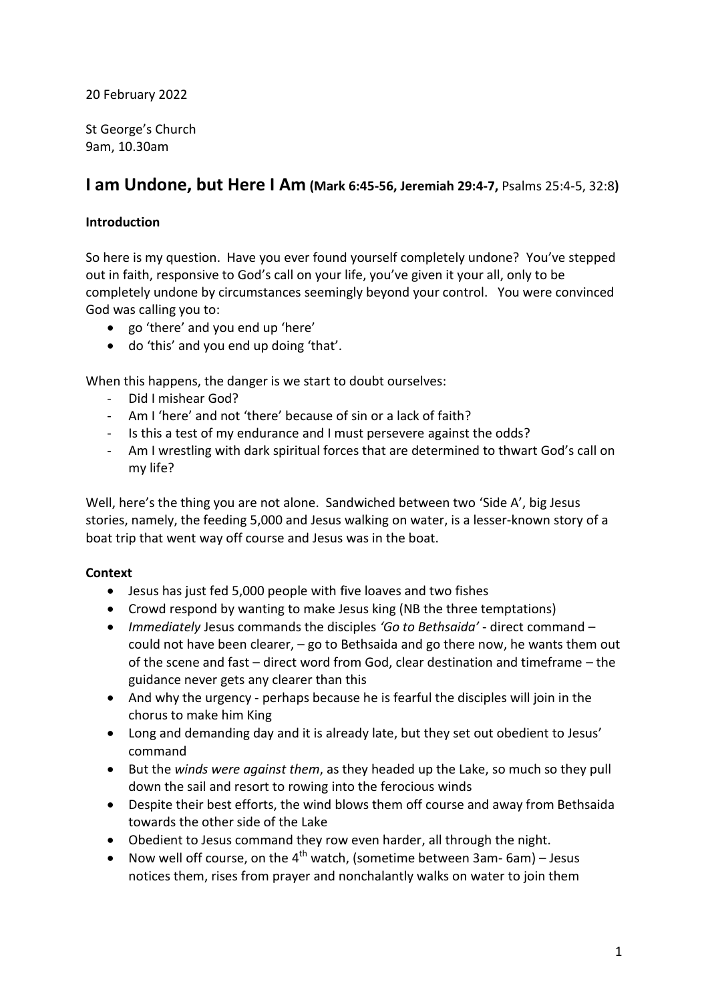### 20 February 2022

St George's Church 9am, 10.30am

# **I am Undone, but Here I Am (Mark 6:45-56, Jeremiah 29:4-7,** Psalms 25:4-5, 32:8**)**

# **Introduction**

So here is my question. Have you ever found yourself completely undone? You've stepped out in faith, responsive to God's call on your life, you've given it your all, only to be completely undone by circumstances seemingly beyond your control. You were convinced God was calling you to:

- go 'there' and you end up 'here'
- do 'this' and you end up doing 'that'.

When this happens, the danger is we start to doubt ourselves:

- Did I mishear God?
- Am I 'here' and not 'there' because of sin or a lack of faith?
- Is this a test of my endurance and I must persevere against the odds?
- Am I wrestling with dark spiritual forces that are determined to thwart God's call on my life?

Well, here's the thing you are not alone. Sandwiched between two 'Side A', big Jesus stories, namely, the feeding 5,000 and Jesus walking on water, is a lesser-known story of a boat trip that went way off course and Jesus was in the boat.

### **Context**

- Jesus has just fed 5,000 people with five loaves and two fishes
- Crowd respond by wanting to make Jesus king (NB the three temptations)
- *Immediately* Jesus commands the disciples *'Go to Bethsaida'* direct command could not have been clearer,  $-$  go to Bethsaida and go there now, he wants them out of the scene and fast – direct word from God, clear destination and timeframe – the guidance never gets any clearer than this
- And why the urgency perhaps because he is fearful the disciples will join in the chorus to make him King
- Long and demanding day and it is already late, but they set out obedient to Jesus' command
- But the *winds were against them*, as they headed up the Lake, so much so they pull down the sail and resort to rowing into the ferocious winds
- Despite their best efforts, the wind blows them off course and away from Bethsaida towards the other side of the Lake
- Obedient to Jesus command they row even harder, all through the night.
- Now well off course, on the  $4^{th}$  watch, (sometime between 3am-6am) Jesus notices them, rises from prayer and nonchalantly walks on water to join them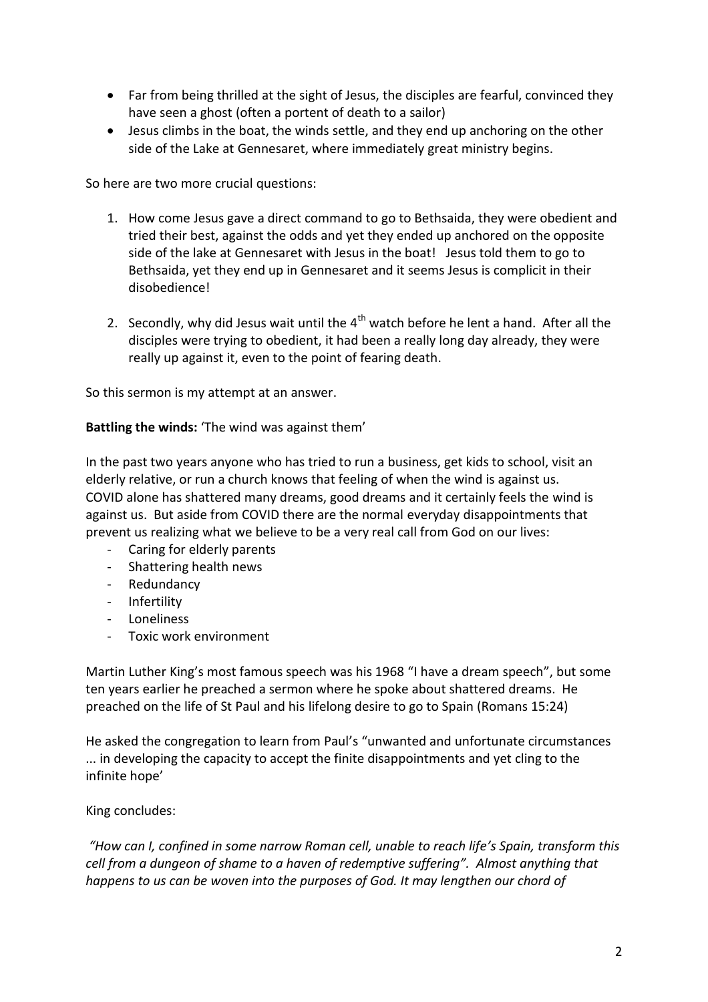- Far from being thrilled at the sight of Jesus, the disciples are fearful, convinced they have seen a ghost (often a portent of death to a sailor)
- Jesus climbs in the boat, the winds settle, and they end up anchoring on the other side of the Lake at Gennesaret, where immediately great ministry begins.

So here are two more crucial questions:

- 1. How come Jesus gave a direct command to go to Bethsaida, they were obedient and tried their best, against the odds and yet they ended up anchored on the opposite side of the lake at Gennesaret with Jesus in the boat! Jesus told them to go to Bethsaida, yet they end up in Gennesaret and it seems Jesus is complicit in their disobedience!
- 2. Secondly, why did Jesus wait until the  $4<sup>th</sup>$  watch before he lent a hand. After all the disciples were trying to obedient, it had been a really long day already, they were really up against it, even to the point of fearing death.

So this sermon is my attempt at an answer.

#### **Battling the winds:** 'The wind was against them'

In the past two years anyone who has tried to run a business, get kids to school, visit an elderly relative, or run a church knows that feeling of when the wind is against us. COVID alone has shattered many dreams, good dreams and it certainly feels the wind is against us. But aside from COVID there are the normal everyday disappointments that prevent us realizing what we believe to be a very real call from God on our lives:

- Caring for elderly parents
- Shattering health news
- Redundancy
- Infertility
- Loneliness
- Toxic work environment

Martin Luther King's most famous speech was his 1968 "I have a dream speech", but some ten years earlier he preached a sermon where he spoke about shattered dreams. He preached on the life of St Paul and his lifelong desire to go to Spain (Romans 15:24)

He asked the congregation to learn from Paul's "unwanted and unfortunate circumstances ... in developing the capacity to accept the finite disappointments and yet cling to the infinite hope'

### King concludes:

*"How can I, confined in some narrow Roman cell, unable to reach life's Spain, transform this cell from a dungeon of shame to a haven of redemptive suffering". Almost anything that happens to us can be woven into the purposes of God. It may lengthen our chord of*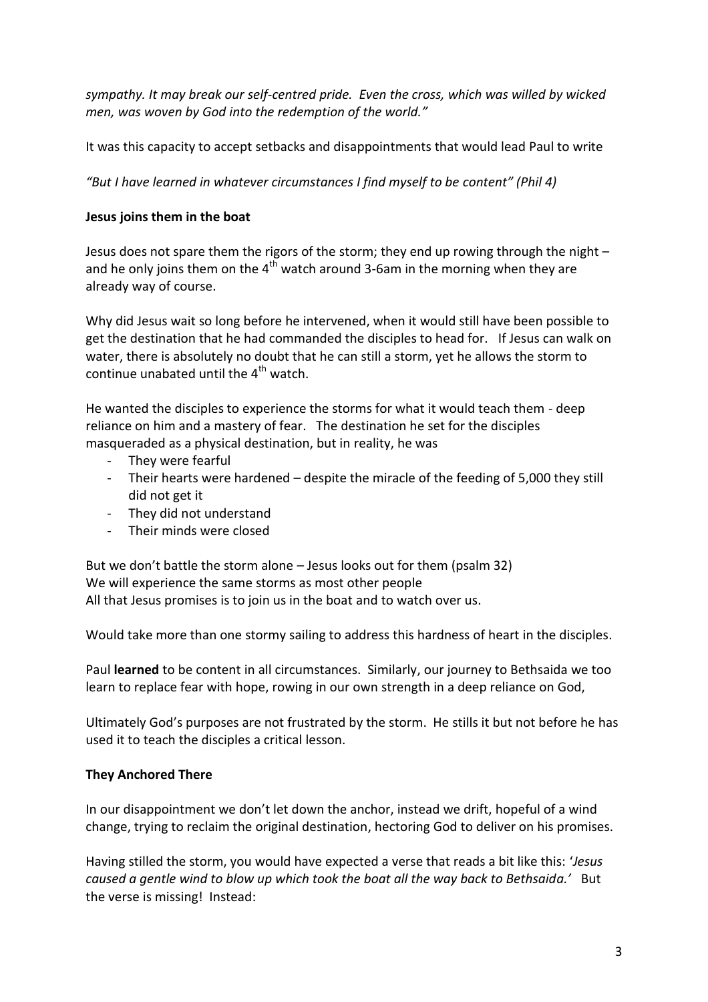*sympathy. It may break our self-centred pride. Even the cross, which was willed by wicked men, was woven by God into the redemption of the world."*

It was this capacity to accept setbacks and disappointments that would lead Paul to write

*"But I have learned in whatever circumstances I find myself to be content" (Phil 4)* 

# **Jesus joins them in the boat**

Jesus does not spare them the rigors of the storm; they end up rowing through the night – and he only joins them on the  $4<sup>th</sup>$  watch around 3-6am in the morning when they are already way of course.

Why did Jesus wait so long before he intervened, when it would still have been possible to get the destination that he had commanded the disciples to head for. If Jesus can walk on water, there is absolutely no doubt that he can still a storm, yet he allows the storm to continue unabated until the  $4<sup>th</sup>$  watch.

He wanted the disciples to experience the storms for what it would teach them - deep reliance on him and a mastery of fear. The destination he set for the disciples masqueraded as a physical destination, but in reality, he was

- They were fearful
- Their hearts were hardened despite the miracle of the feeding of 5,000 they still did not get it
- They did not understand
- Their minds were closed

But we don't battle the storm alone – Jesus looks out for them (psalm 32) We will experience the same storms as most other people All that Jesus promises is to join us in the boat and to watch over us.

Would take more than one stormy sailing to address this hardness of heart in the disciples.

Paul **learned** to be content in all circumstances. Similarly, our journey to Bethsaida we too learn to replace fear with hope, rowing in our own strength in a deep reliance on God,

Ultimately God's purposes are not frustrated by the storm. He stills it but not before he has used it to teach the disciples a critical lesson.

# **They Anchored There**

In our disappointment we don't let down the anchor, instead we drift, hopeful of a wind change, trying to reclaim the original destination, hectoring God to deliver on his promises.

Having stilled the storm, you would have expected a verse that reads a bit like this: '*Jesus caused a gentle wind to blow up which took the boat all the way back to Bethsaida.'* But the verse is missing! Instead: